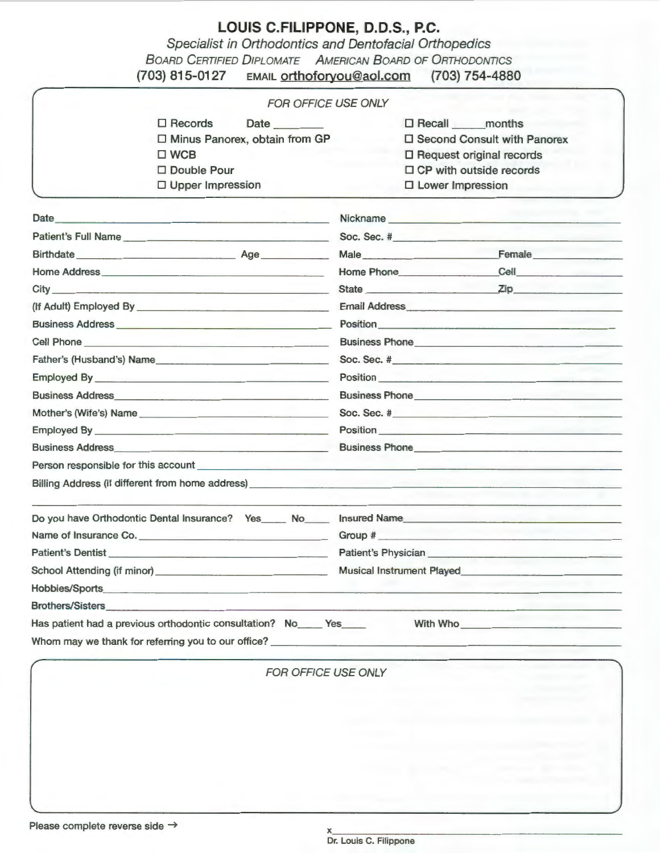## **LOUIS C.FILIPPONE, 0.0.S., P.C.**

Specialist in Orthodontics and Dentofacial Orthopedics BOARD CERTIFIED DIPLOMATE AMERICAN BOARD OF ORTHODONTICS

| (703) 815-0127<br><b>EMAIL</b> orthoforyou@aol.com                                                                                                                                                                                   | $(703) 754 - 4880$                                                                                                                                                                                                                   |  |  |
|--------------------------------------------------------------------------------------------------------------------------------------------------------------------------------------------------------------------------------------|--------------------------------------------------------------------------------------------------------------------------------------------------------------------------------------------------------------------------------------|--|--|
| <b>FOR OFFICE USE ONLY</b>                                                                                                                                                                                                           |                                                                                                                                                                                                                                      |  |  |
| $\square$ Records<br>Date<br>□ Minus Panorex, obtain from GP<br>$\square$ WCB<br>□ Double Pour<br>□ Upper Impression                                                                                                                 | □ Recall _____ months<br>□ Second Consult with Panorex<br>□ Request original records<br>$\Box$ CP with outside records<br>$\Box$ Lower Impression                                                                                    |  |  |
|                                                                                                                                                                                                                                      | Nickname                                                                                                                                                                                                                             |  |  |
| Patient's Full Name                                                                                                                                                                                                                  |                                                                                                                                                                                                                                      |  |  |
| Birthdate Age                                                                                                                                                                                                                        | Male<br>Female                                                                                                                                                                                                                       |  |  |
|                                                                                                                                                                                                                                      | <b>Cell Cell</b><br>Home Phone                                                                                                                                                                                                       |  |  |
|                                                                                                                                                                                                                                      | State <u>Zip</u>                                                                                                                                                                                                                     |  |  |
|                                                                                                                                                                                                                                      | Email Address <b>Email Address</b>                                                                                                                                                                                                   |  |  |
|                                                                                                                                                                                                                                      | Position                                                                                                                                                                                                                             |  |  |
| Cell Phone <u>Call Communication</u>                                                                                                                                                                                                 | Business Phone <b>contract and the contract of the contract of the contract of the contract of the contract of the contract of the contract of the contract of the contract of the contract of the contract of the contract of t</b> |  |  |
| Father's (Husband's) Name                                                                                                                                                                                                            |                                                                                                                                                                                                                                      |  |  |
|                                                                                                                                                                                                                                      |                                                                                                                                                                                                                                      |  |  |
|                                                                                                                                                                                                                                      | Business Phone <u>Communications</u>                                                                                                                                                                                                 |  |  |
| Mother's (Wife's) Name                                                                                                                                                                                                               | Soc. Sec. # $\qquad \qquad$                                                                                                                                                                                                          |  |  |
|                                                                                                                                                                                                                                      |                                                                                                                                                                                                                                      |  |  |
| Business Address <b>Executive Contract Contract Contract Contract Contract Contract Contract Contract Contract Contract Contract Contract Contract Contract Contract Contract Contract Contract Contract Contract Contract Contr</b> | Business Phone <u>Communications</u> and the set of the set of the set of the set of the set of the set of the set of the set of the set of the set of the set of the set of the set of the set of the set of the set of the set of  |  |  |
|                                                                                                                                                                                                                                      |                                                                                                                                                                                                                                      |  |  |
| Billing Address (if different from home address) ________________________________                                                                                                                                                    |                                                                                                                                                                                                                                      |  |  |
|                                                                                                                                                                                                                                      |                                                                                                                                                                                                                                      |  |  |
| Name of Insurance Co.                                                                                                                                                                                                                | Group #                                                                                                                                                                                                                              |  |  |
| Patient's Dentist_                                                                                                                                                                                                                   | Patient's Physician                                                                                                                                                                                                                  |  |  |
|                                                                                                                                                                                                                                      |                                                                                                                                                                                                                                      |  |  |
| Hobbies/Sports                                                                                                                                                                                                                       |                                                                                                                                                                                                                                      |  |  |
|                                                                                                                                                                                                                                      |                                                                                                                                                                                                                                      |  |  |
| Has patient had a previous orthodontic consultation? No Yes                                                                                                                                                                          | With Who                                                                                                                                                                                                                             |  |  |
|                                                                                                                                                                                                                                      |                                                                                                                                                                                                                                      |  |  |

FOR OFFICE USE ONLY